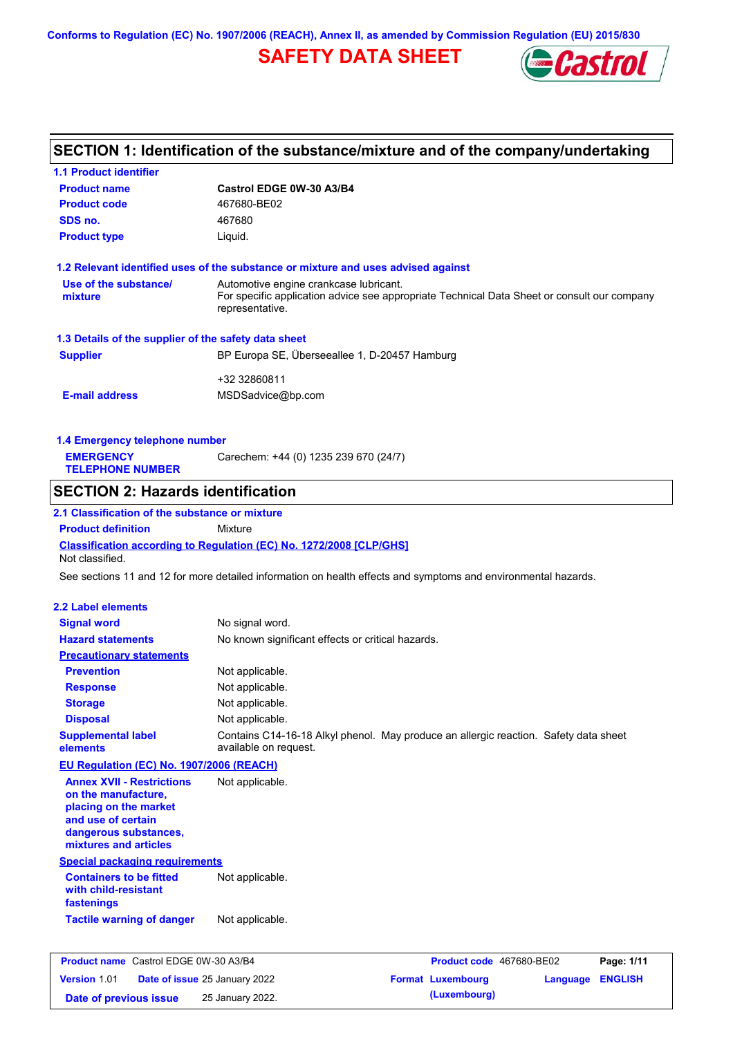**Conforms to Regulation (EC) No. 1907/2006 (REACH), Annex II, as amended by Commission Regulation (EU) 2015/830**

# **SAFETY DATA SHEET**



# **SECTION 1: Identification of the substance/mixture and of the company/undertaking**

| <b>1.1 Product identifier</b>                                                                                                                                                                |                                                                                                                |  |  |
|----------------------------------------------------------------------------------------------------------------------------------------------------------------------------------------------|----------------------------------------------------------------------------------------------------------------|--|--|
| <b>Product name</b>                                                                                                                                                                          | Castrol EDGE 0W-30 A3/B4                                                                                       |  |  |
| <b>Product code</b>                                                                                                                                                                          | 467680-BE02                                                                                                    |  |  |
| SDS no.                                                                                                                                                                                      | 467680                                                                                                         |  |  |
| <b>Product type</b>                                                                                                                                                                          | Liquid.                                                                                                        |  |  |
|                                                                                                                                                                                              | 1.2 Relevant identified uses of the substance or mixture and uses advised against                              |  |  |
| Use of the substance/<br>Automotive engine crankcase lubricant.<br>mixture<br>For specific application advice see appropriate Technical Data Sheet or consult our company<br>representative. |                                                                                                                |  |  |
| 1.3 Details of the supplier of the safety data sheet                                                                                                                                         |                                                                                                                |  |  |
| <b>Supplier</b>                                                                                                                                                                              | BP Europa SE, Überseeallee 1, D-20457 Hamburg                                                                  |  |  |
|                                                                                                                                                                                              |                                                                                                                |  |  |
| <b>E-mail address</b>                                                                                                                                                                        | +32 32860811<br>MSDSadvice@bp.com                                                                              |  |  |
| 1.4 Emergency telephone number                                                                                                                                                               |                                                                                                                |  |  |
| <b>EMERGENCY</b><br><b>TELEPHONE NUMBER</b>                                                                                                                                                  | Carechem: +44 (0) 1235 239 670 (24/7)                                                                          |  |  |
| <b>SECTION 2: Hazards identification</b>                                                                                                                                                     |                                                                                                                |  |  |
| 2.1 Classification of the substance or mixture                                                                                                                                               |                                                                                                                |  |  |
| <b>Product definition</b>                                                                                                                                                                    | Mixture                                                                                                        |  |  |
| Not classified.                                                                                                                                                                              | Classification according to Regulation (EC) No. 1272/2008 [CLP/GHS]                                            |  |  |
|                                                                                                                                                                                              | See sections 11 and 12 for more detailed information on health effects and symptoms and environmental hazards. |  |  |
|                                                                                                                                                                                              |                                                                                                                |  |  |
| <b>2.2 Label elements</b>                                                                                                                                                                    |                                                                                                                |  |  |
| <b>Signal word</b>                                                                                                                                                                           | No signal word.                                                                                                |  |  |
| <b>Hazard statements</b>                                                                                                                                                                     | No known significant effects or critical hazards.                                                              |  |  |
| <b>Precautionary statements</b>                                                                                                                                                              |                                                                                                                |  |  |
| <b>Prevention</b>                                                                                                                                                                            | Not applicable.                                                                                                |  |  |
| <b>Response</b>                                                                                                                                                                              | Not applicable.                                                                                                |  |  |
| <b>Storage</b>                                                                                                                                                                               | Not applicable.                                                                                                |  |  |
| <b>Disposal</b>                                                                                                                                                                              | Not applicable.                                                                                                |  |  |
| <b>Supplemental label</b><br>elements                                                                                                                                                        | Contains C14-16-18 Alkyl phenol. May produce an allergic reaction. Safety data sheet<br>available on request.  |  |  |
| EU Regulation (EC) No. 1907/2006 (REACH)                                                                                                                                                     |                                                                                                                |  |  |
| <b>Annex XVII - Restrictions</b><br>on the manufacture,<br>placing on the market<br>and use of certain<br>dangerous substances,<br>mixtures and articles                                     | Not applicable.                                                                                                |  |  |
| <b>Special packaging requirements</b>                                                                                                                                                        |                                                                                                                |  |  |
| <b>Containers to be fitted</b><br>with child-resistant<br>fastenings                                                                                                                         | Not applicable.                                                                                                |  |  |
| <b>Tactile warning of danger</b>                                                                                                                                                             | Not applicable.                                                                                                |  |  |
|                                                                                                                                                                                              |                                                                                                                |  |  |
| <b>Product name</b> Castrol EDGE 0W-30 A3/B4                                                                                                                                                 | Product code 467680-BE02<br>Page: 1/11                                                                         |  |  |
| Version 1.01                                                                                                                                                                                 | Date of issue 25 January 2022<br><b>Format Luxembourg</b><br><b>ENGLISH</b><br>Language                        |  |  |

**Date of previous issue** 25 January 2022.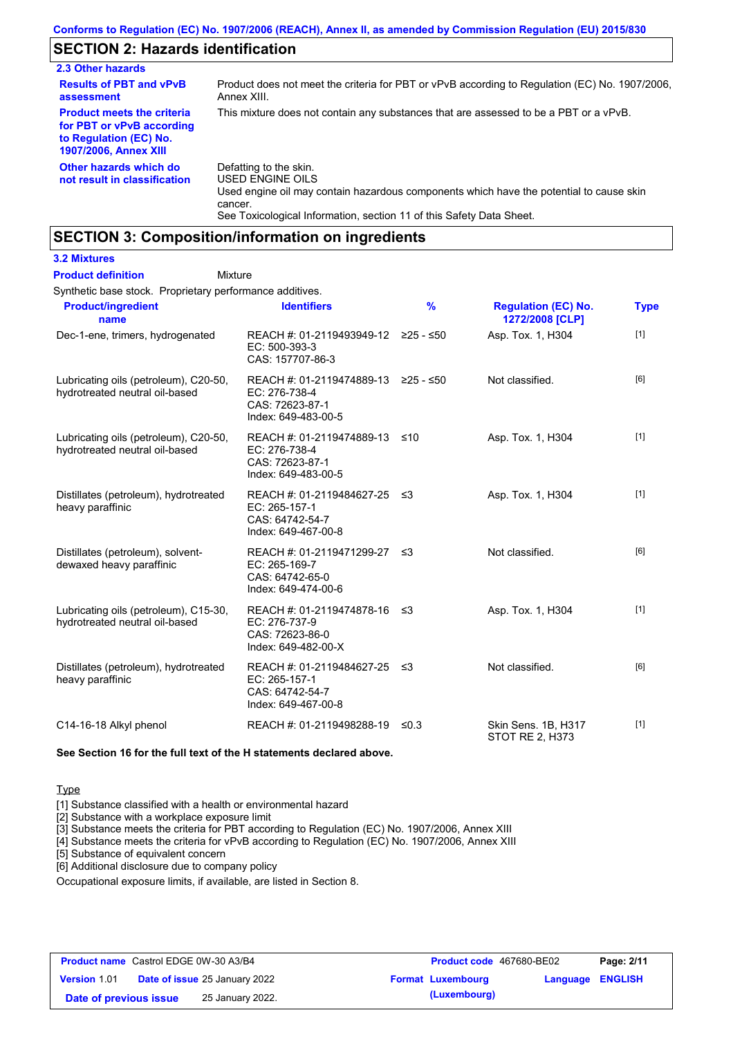# **SECTION 2: Hazards identification**

| 2.3 Other hazards                                                                                                        |                                                                                                                                                  |
|--------------------------------------------------------------------------------------------------------------------------|--------------------------------------------------------------------------------------------------------------------------------------------------|
| <b>Results of PBT and vPvB</b><br>assessment                                                                             | Product does not meet the criteria for PBT or vPvB according to Regulation (EC) No. 1907/2006,<br>Annex XIII.                                    |
| <b>Product meets the criteria</b><br>for PBT or vPvB according<br>to Regulation (EC) No.<br><b>1907/2006, Annex XIII</b> | This mixture does not contain any substances that are assessed to be a PBT or a vPvB.                                                            |
| Other hazards which do<br>not result in classification                                                                   | Defatting to the skin.<br>USED ENGINE OILS<br>Used engine oil may contain hazardous components which have the potential to cause skin<br>cancer. |

See Toxicological Information, section 11 of this Safety Data Sheet.

## **SECTION 3: Composition/information on ingredients**

### **3.2 Mixtures**

#### Mixture **Product definition**

Synthetic base stock. Proprietary performance additives.

| <b>Product/ingredient</b><br>name                                       | <b>Identifiers</b>                                                                             | $\frac{9}{6}$ | <b>Regulation (EC) No.</b><br>1272/2008 [CLP] | <b>Type</b> |
|-------------------------------------------------------------------------|------------------------------------------------------------------------------------------------|---------------|-----------------------------------------------|-------------|
| Dec-1-ene, trimers, hydrogenated                                        | REACH #: 01-2119493949-12 ≥25 - ≤50<br>EC: 500-393-3<br>CAS: 157707-86-3                       |               | Asp. Tox. 1, H304                             | $[1]$       |
| Lubricating oils (petroleum), C20-50,<br>hydrotreated neutral oil-based | REACH #: 01-2119474889-13 ≥25 - ≤50<br>EC: 276-738-4<br>CAS: 72623-87-1<br>Index: 649-483-00-5 |               | Not classified.                               | [6]         |
| Lubricating oils (petroleum), C20-50,<br>hydrotreated neutral oil-based | REACH #: 01-2119474889-13 ≤10<br>EC: 276-738-4<br>CAS: 72623-87-1<br>Index: 649-483-00-5       |               | Asp. Tox. 1, H304                             | $[1]$       |
| Distillates (petroleum), hydrotreated<br>heavy paraffinic               | REACH #: 01-2119484627-25 ≤3<br>EC: 265-157-1<br>CAS: 64742-54-7<br>Index: 649-467-00-8        |               | Asp. Tox. 1, H304                             | $[1]$       |
| Distillates (petroleum), solvent-<br>dewaxed heavy paraffinic           | REACH #: 01-2119471299-27 ≤3<br>EC: 265-169-7<br>CAS: 64742-65-0<br>Index: 649-474-00-6        |               | Not classified.                               | [6]         |
| Lubricating oils (petroleum), C15-30,<br>hydrotreated neutral oil-based | REACH #: 01-2119474878-16 ≤3<br>EC: 276-737-9<br>CAS: 72623-86-0<br>Index: 649-482-00-X        |               | Asp. Tox. 1, H304                             | $[1]$       |
| Distillates (petroleum), hydrotreated<br>heavy paraffinic               | REACH #: 01-2119484627-25 ≤3<br>EC: 265-157-1<br>CAS: 64742-54-7<br>Index: 649-467-00-8        |               | Not classified.                               | [6]         |
| C14-16-18 Alkyl phenol                                                  | REACH #: 01-2119498288-19                                                                      | $\leq 0.3$    | Skin Sens. 1B, H317<br><b>STOT RE 2, H373</b> | $[1]$       |

**See Section 16 for the full text of the H statements declared above.**

### **Type**

[1] Substance classified with a health or environmental hazard

[2] Substance with a workplace exposure limit

[3] Substance meets the criteria for PBT according to Regulation (EC) No. 1907/2006, Annex XIII

[4] Substance meets the criteria for vPvB according to Regulation (EC) No. 1907/2006, Annex XIII

[5] Substance of equivalent concern

[6] Additional disclosure due to company policy

Occupational exposure limits, if available, are listed in Section 8.

| <b>Product name</b> Castrol EDGE 0W-30 A3/B4 |                                      | <b>Product code</b> 467680-BE02 |                         | Page: 2/11 |
|----------------------------------------------|--------------------------------------|---------------------------------|-------------------------|------------|
| <b>Version 1.01</b>                          | <b>Date of issue 25 January 2022</b> | <b>Format Luxembourg</b>        | <b>Language ENGLISH</b> |            |
| Date of previous issue                       | 25 January 2022.                     | (Luxembourg)                    |                         |            |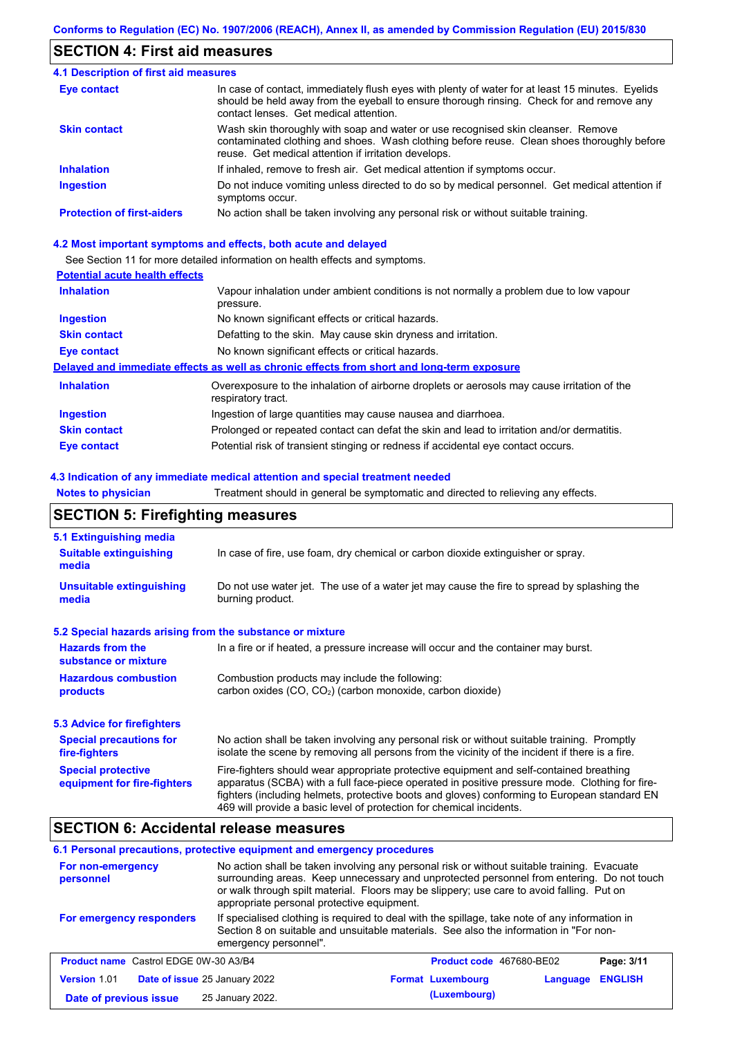# **SECTION 4: First aid measures**

| <b>4.1 Description of first aid measures</b> |                                                                                                                                                                                                                                         |
|----------------------------------------------|-----------------------------------------------------------------------------------------------------------------------------------------------------------------------------------------------------------------------------------------|
| <b>Eye contact</b>                           | In case of contact, immediately flush eyes with plenty of water for at least 15 minutes. Eyelids<br>should be held away from the eyeball to ensure thorough rinsing. Check for and remove any<br>contact lenses. Get medical attention. |
| <b>Skin contact</b>                          | Wash skin thoroughly with soap and water or use recognised skin cleanser. Remove<br>contaminated clothing and shoes. Wash clothing before reuse. Clean shoes thoroughly before<br>reuse. Get medical attention if irritation develops.  |
| <b>Inhalation</b>                            | If inhaled, remove to fresh air. Get medical attention if symptoms occur.                                                                                                                                                               |
| <b>Ingestion</b>                             | Do not induce vomiting unless directed to do so by medical personnel. Get medical attention if<br>symptoms occur.                                                                                                                       |
| <b>Protection of first-aiders</b>            | No action shall be taken involving any personal risk or without suitable training.                                                                                                                                                      |

### **4.2 Most important symptoms and effects, both acute and delayed**

See Section 11 for more detailed information on health effects and symptoms.

### **Potential acute health effects**

| <b>Inhalation</b>   | Vapour inhalation under ambient conditions is not normally a problem due to low vapour<br>pressure.               |  |  |
|---------------------|-------------------------------------------------------------------------------------------------------------------|--|--|
| <b>Ingestion</b>    | No known significant effects or critical hazards.                                                                 |  |  |
| <b>Skin contact</b> | Defatting to the skin. May cause skin dryness and irritation.                                                     |  |  |
| Eye contact         | No known significant effects or critical hazards.                                                                 |  |  |
|                     | Delayed and immediate effects as well as chronic effects from short and long-term exposure                        |  |  |
| <b>Inhalation</b>   | Overexposure to the inhalation of airborne droplets or aerosols may cause irritation of the<br>respiratory tract. |  |  |
| <b>Ingestion</b>    | Ingestion of large quantities may cause nausea and diarrhoea.                                                     |  |  |
| <b>Skin contact</b> | Prolonged or repeated contact can defat the skin and lead to irritation and/or dermatitis.                        |  |  |
| Eye contact         | Potential risk of transient stinging or redness if accidental eye contact occurs.                                 |  |  |

### **4.3 Indication of any immediate medical attention and special treatment needed**

**Notes to physician** Treatment should in general be symptomatic and directed to relieving any effects.

# **SECTION 5: Firefighting measures**

| 5.1 Extinguishing media                                                                                                                                                                                                                                                                                                                                                                                                       |                                                                                  |  |  |
|-------------------------------------------------------------------------------------------------------------------------------------------------------------------------------------------------------------------------------------------------------------------------------------------------------------------------------------------------------------------------------------------------------------------------------|----------------------------------------------------------------------------------|--|--|
| <b>Suitable extinguishing</b><br>media                                                                                                                                                                                                                                                                                                                                                                                        | In case of fire, use foam, dry chemical or carbon dioxide extinguisher or spray. |  |  |
| <b>Unsuitable extinguishing</b><br>Do not use water jet. The use of a water jet may cause the fire to spread by splashing the<br>burning product.<br>media                                                                                                                                                                                                                                                                    |                                                                                  |  |  |
| 5.2 Special hazards arising from the substance or mixture                                                                                                                                                                                                                                                                                                                                                                     |                                                                                  |  |  |
| <b>Hazards from the</b><br>In a fire or if heated, a pressure increase will occur and the container may burst.<br>substance or mixture                                                                                                                                                                                                                                                                                        |                                                                                  |  |  |
| <b>Hazardous combustion</b><br>Combustion products may include the following:<br>carbon oxides (CO, CO <sub>2</sub> ) (carbon monoxide, carbon dioxide)<br>products                                                                                                                                                                                                                                                           |                                                                                  |  |  |
| 5.3 Advice for firefighters                                                                                                                                                                                                                                                                                                                                                                                                   |                                                                                  |  |  |
| No action shall be taken involving any personal risk or without suitable training. Promptly<br><b>Special precautions for</b><br>isolate the scene by removing all persons from the vicinity of the incident if there is a fire.<br>fire-fighters                                                                                                                                                                             |                                                                                  |  |  |
| <b>Special protective</b><br>Fire-fighters should wear appropriate protective equipment and self-contained breathing<br>apparatus (SCBA) with a full face-piece operated in positive pressure mode. Clothing for fire-<br>equipment for fire-fighters<br>fighters (including helmets, protective boots and gloves) conforming to European standard EN<br>469 will provide a basic level of protection for chemical incidents. |                                                                                  |  |  |

## **SECTION 6: Accidental release measures**

### **6.1 Personal precautions, protective equipment and emergency procedures**

| For non-emergency<br>personnel               | No action shall be taken involving any personal risk or without suitable training. Evacuate<br>surrounding areas. Keep unnecessary and unprotected personnel from entering. Do not touch<br>or walk through spilt material. Floors may be slippery; use care to avoid falling. Put on<br>appropriate personal protective equipment. |                                      |                |
|----------------------------------------------|-------------------------------------------------------------------------------------------------------------------------------------------------------------------------------------------------------------------------------------------------------------------------------------------------------------------------------------|--------------------------------------|----------------|
| For emergency responders                     | If specialised clothing is required to deal with the spillage, take note of any information in<br>Section 8 on suitable and unsuitable materials. See also the information in "For non-<br>emergency personnel".                                                                                                                    |                                      |                |
| <b>Product name</b> Castrol EDGE 0W-30 A3/B4 |                                                                                                                                                                                                                                                                                                                                     | Product code 467680-BE02             | Page: 3/11     |
| <b>Version 1.01</b>                          | Date of issue 25 January 2022                                                                                                                                                                                                                                                                                                       | <b>Format Luxembourg</b><br>Language | <b>ENGLISH</b> |
| Date of previous issue                       | 25 January 2022.                                                                                                                                                                                                                                                                                                                    | (Luxembourg)                         |                |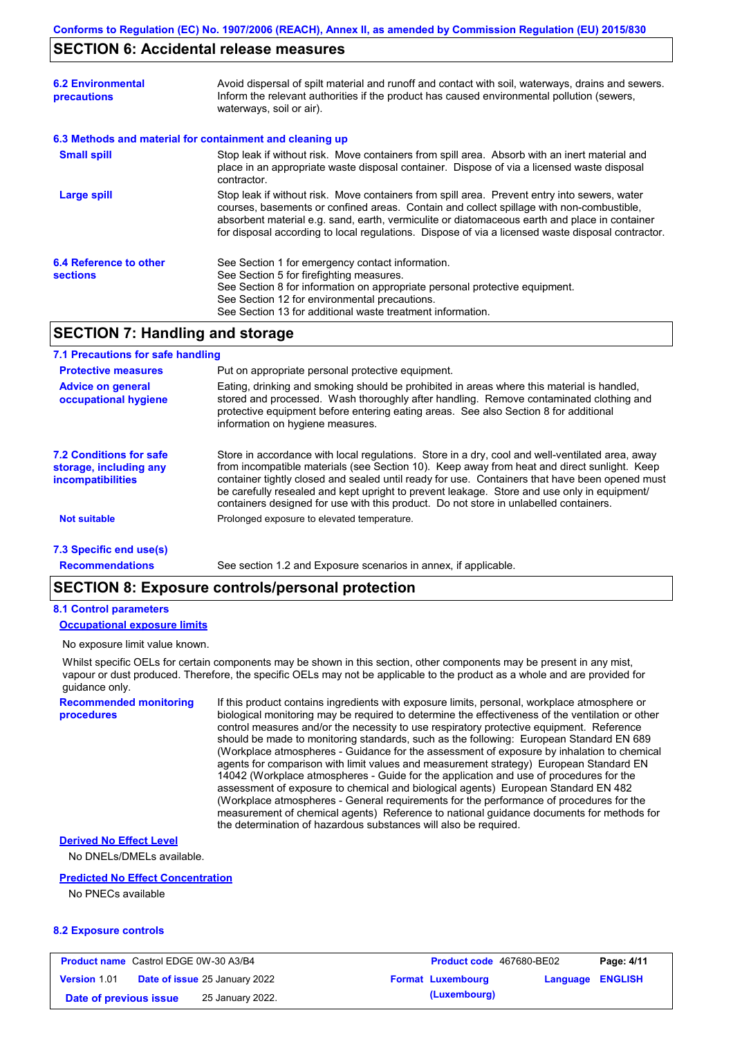## **SECTION 6: Accidental release measures**

| <b>6.2 Environmental</b><br>precautions                  | Avoid dispersal of spilt material and runoff and contact with soil, waterways, drains and sewers.<br>Inform the relevant authorities if the product has caused environmental pollution (sewers,<br>waterways, soil or air).                                                                                                                                                                    |  |
|----------------------------------------------------------|------------------------------------------------------------------------------------------------------------------------------------------------------------------------------------------------------------------------------------------------------------------------------------------------------------------------------------------------------------------------------------------------|--|
| 6.3 Methods and material for containment and cleaning up |                                                                                                                                                                                                                                                                                                                                                                                                |  |
| <b>Small spill</b>                                       | Stop leak if without risk. Move containers from spill area. Absorb with an inert material and<br>place in an appropriate waste disposal container. Dispose of via a licensed waste disposal<br>contractor.                                                                                                                                                                                     |  |
| Large spill                                              | Stop leak if without risk. Move containers from spill area. Prevent entry into sewers, water<br>courses, basements or confined areas. Contain and collect spillage with non-combustible,<br>absorbent material e.g. sand, earth, vermiculite or diatomaceous earth and place in container<br>for disposal according to local regulations. Dispose of via a licensed waste disposal contractor. |  |
| 6.4 Reference to other<br><b>sections</b>                | See Section 1 for emergency contact information.<br>See Section 5 for firefighting measures.<br>See Section 8 for information on appropriate personal protective equipment.<br>See Section 12 for environmental precautions.<br>See Section 13 for additional waste treatment information.                                                                                                     |  |

## **SECTION 7: Handling and storage**

### **7.1 Precautions for safe handling**

| <b>Protective measures</b>                                                           | Put on appropriate personal protective equipment.                                                                                                                                                                                                                                                                                                                                                                                                                                        |
|--------------------------------------------------------------------------------------|------------------------------------------------------------------------------------------------------------------------------------------------------------------------------------------------------------------------------------------------------------------------------------------------------------------------------------------------------------------------------------------------------------------------------------------------------------------------------------------|
| <b>Advice on general</b><br>occupational hygiene                                     | Eating, drinking and smoking should be prohibited in areas where this material is handled,<br>stored and processed. Wash thoroughly after handling. Remove contaminated clothing and<br>protective equipment before entering eating areas. See also Section 8 for additional<br>information on hygiene measures.                                                                                                                                                                         |
| <b>7.2 Conditions for safe</b><br>storage, including any<br><i>incompatibilities</i> | Store in accordance with local requlations. Store in a dry, cool and well-ventilated area, away<br>from incompatible materials (see Section 10). Keep away from heat and direct sunlight. Keep<br>container tightly closed and sealed until ready for use. Containers that have been opened must<br>be carefully resealed and kept upright to prevent leakage. Store and use only in equipment/<br>containers designed for use with this product. Do not store in unlabelled containers. |
| <b>Not suitable</b>                                                                  | Prolonged exposure to elevated temperature.                                                                                                                                                                                                                                                                                                                                                                                                                                              |
| 7.3 Specific end use(s)                                                              |                                                                                                                                                                                                                                                                                                                                                                                                                                                                                          |

**Recommendations**

See section 1.2 and Exposure scenarios in annex, if applicable.

## **SECTION 8: Exposure controls/personal protection**

### **8.1 Control parameters**

### **Occupational exposure limits**

No exposure limit value known.

Whilst specific OELs for certain components may be shown in this section, other components may be present in any mist, vapour or dust produced. Therefore, the specific OELs may not be applicable to the product as a whole and are provided for guidance only.

**Recommended monitoring procedures**

If this product contains ingredients with exposure limits, personal, workplace atmosphere or biological monitoring may be required to determine the effectiveness of the ventilation or other control measures and/or the necessity to use respiratory protective equipment. Reference should be made to monitoring standards, such as the following: European Standard EN 689 (Workplace atmospheres - Guidance for the assessment of exposure by inhalation to chemical agents for comparison with limit values and measurement strategy) European Standard EN 14042 (Workplace atmospheres - Guide for the application and use of procedures for the assessment of exposure to chemical and biological agents) European Standard EN 482 (Workplace atmospheres - General requirements for the performance of procedures for the measurement of chemical agents) Reference to national guidance documents for methods for the determination of hazardous substances will also be required.

#### **Derived No Effect Level**

No DNELs/DMELs available.

### **Predicted No Effect Concentration**

No PNECs available

### **8.2 Exposure controls**

| <b>Product name</b> Castrol EDGE 0W-30 A3/B4 |  | <b>Product code</b> 467680-BE02      |  | Page: 4/11               |                         |  |
|----------------------------------------------|--|--------------------------------------|--|--------------------------|-------------------------|--|
| <b>Version 1.01</b>                          |  | <b>Date of issue 25 January 2022</b> |  | <b>Format Luxembourg</b> | <b>Language ENGLISH</b> |  |
| Date of previous issue                       |  | 25 January 2022.                     |  | (Luxembourg)             |                         |  |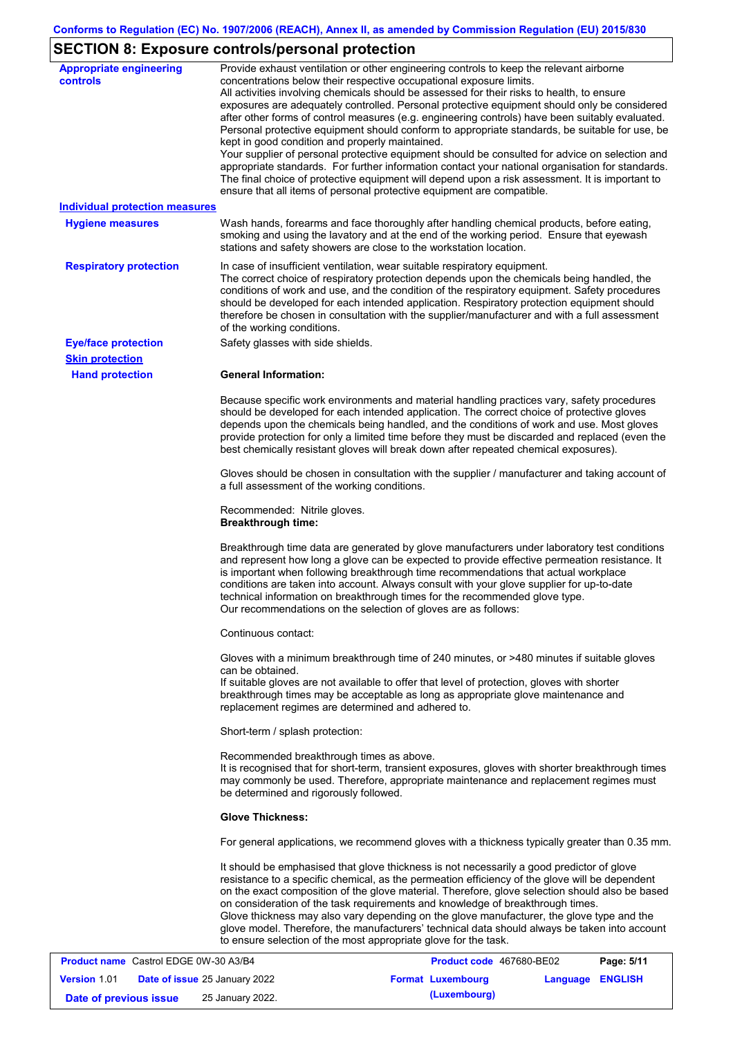# **SECTION 8: Exposure controls/personal protection**

| <b>Appropriate engineering</b><br><b>controls</b> | Provide exhaust ventilation or other engineering controls to keep the relevant airborne<br>concentrations below their respective occupational exposure limits.<br>All activities involving chemicals should be assessed for their risks to health, to ensure<br>exposures are adequately controlled. Personal protective equipment should only be considered<br>after other forms of control measures (e.g. engineering controls) have been suitably evaluated.<br>Personal protective equipment should conform to appropriate standards, be suitable for use, be<br>kept in good condition and properly maintained.<br>Your supplier of personal protective equipment should be consulted for advice on selection and<br>appropriate standards. For further information contact your national organisation for standards.<br>The final choice of protective equipment will depend upon a risk assessment. It is important to<br>ensure that all items of personal protective equipment are compatible. |
|---------------------------------------------------|---------------------------------------------------------------------------------------------------------------------------------------------------------------------------------------------------------------------------------------------------------------------------------------------------------------------------------------------------------------------------------------------------------------------------------------------------------------------------------------------------------------------------------------------------------------------------------------------------------------------------------------------------------------------------------------------------------------------------------------------------------------------------------------------------------------------------------------------------------------------------------------------------------------------------------------------------------------------------------------------------------|
| <b>Individual protection measures</b>             |                                                                                                                                                                                                                                                                                                                                                                                                                                                                                                                                                                                                                                                                                                                                                                                                                                                                                                                                                                                                         |
| <b>Hygiene measures</b>                           | Wash hands, forearms and face thoroughly after handling chemical products, before eating,<br>smoking and using the lavatory and at the end of the working period. Ensure that eyewash<br>stations and safety showers are close to the workstation location.                                                                                                                                                                                                                                                                                                                                                                                                                                                                                                                                                                                                                                                                                                                                             |
| <b>Respiratory protection</b>                     | In case of insufficient ventilation, wear suitable respiratory equipment.<br>The correct choice of respiratory protection depends upon the chemicals being handled, the<br>conditions of work and use, and the condition of the respiratory equipment. Safety procedures<br>should be developed for each intended application. Respiratory protection equipment should<br>therefore be chosen in consultation with the supplier/manufacturer and with a full assessment<br>of the working conditions.                                                                                                                                                                                                                                                                                                                                                                                                                                                                                                   |
| <b>Eye/face protection</b>                        | Safety glasses with side shields.                                                                                                                                                                                                                                                                                                                                                                                                                                                                                                                                                                                                                                                                                                                                                                                                                                                                                                                                                                       |
| <b>Skin protection</b>                            |                                                                                                                                                                                                                                                                                                                                                                                                                                                                                                                                                                                                                                                                                                                                                                                                                                                                                                                                                                                                         |
| <b>Hand protection</b>                            | <b>General Information:</b>                                                                                                                                                                                                                                                                                                                                                                                                                                                                                                                                                                                                                                                                                                                                                                                                                                                                                                                                                                             |
|                                                   | Because specific work environments and material handling practices vary, safety procedures<br>should be developed for each intended application. The correct choice of protective gloves<br>depends upon the chemicals being handled, and the conditions of work and use. Most gloves<br>provide protection for only a limited time before they must be discarded and replaced (even the<br>best chemically resistant gloves will break down after repeated chemical exposures).                                                                                                                                                                                                                                                                                                                                                                                                                                                                                                                        |
|                                                   | Gloves should be chosen in consultation with the supplier / manufacturer and taking account of<br>a full assessment of the working conditions.                                                                                                                                                                                                                                                                                                                                                                                                                                                                                                                                                                                                                                                                                                                                                                                                                                                          |
|                                                   | Recommended: Nitrile gloves.<br><b>Breakthrough time:</b>                                                                                                                                                                                                                                                                                                                                                                                                                                                                                                                                                                                                                                                                                                                                                                                                                                                                                                                                               |
|                                                   | Breakthrough time data are generated by glove manufacturers under laboratory test conditions<br>and represent how long a glove can be expected to provide effective permeation resistance. It<br>is important when following breakthrough time recommendations that actual workplace<br>conditions are taken into account. Always consult with your glove supplier for up-to-date<br>technical information on breakthrough times for the recommended glove type.<br>Our recommendations on the selection of gloves are as follows:                                                                                                                                                                                                                                                                                                                                                                                                                                                                      |
|                                                   | Continuous contact:                                                                                                                                                                                                                                                                                                                                                                                                                                                                                                                                                                                                                                                                                                                                                                                                                                                                                                                                                                                     |
|                                                   | Gloves with a minimum breakthrough time of 240 minutes, or >480 minutes if suitable gloves<br>can be obtained.<br>If suitable gloves are not available to offer that level of protection, gloves with shorter<br>breakthrough times may be acceptable as long as appropriate glove maintenance and<br>replacement regimes are determined and adhered to.                                                                                                                                                                                                                                                                                                                                                                                                                                                                                                                                                                                                                                                |
|                                                   | Short-term / splash protection:                                                                                                                                                                                                                                                                                                                                                                                                                                                                                                                                                                                                                                                                                                                                                                                                                                                                                                                                                                         |
|                                                   | Recommended breakthrough times as above.<br>It is recognised that for short-term, transient exposures, gloves with shorter breakthrough times<br>may commonly be used. Therefore, appropriate maintenance and replacement regimes must<br>be determined and rigorously followed.                                                                                                                                                                                                                                                                                                                                                                                                                                                                                                                                                                                                                                                                                                                        |
|                                                   | <b>Glove Thickness:</b>                                                                                                                                                                                                                                                                                                                                                                                                                                                                                                                                                                                                                                                                                                                                                                                                                                                                                                                                                                                 |
|                                                   | For general applications, we recommend gloves with a thickness typically greater than 0.35 mm.                                                                                                                                                                                                                                                                                                                                                                                                                                                                                                                                                                                                                                                                                                                                                                                                                                                                                                          |
|                                                   | It should be emphasised that glove thickness is not necessarily a good predictor of glove<br>resistance to a specific chemical, as the permeation efficiency of the glove will be dependent<br>on the exact composition of the glove material. Therefore, glove selection should also be based<br>on consideration of the task requirements and knowledge of breakthrough times.<br>Glove thickness may also vary depending on the glove manufacturer, the glove type and the<br>glove model. Therefore, the manufacturers' technical data should always be taken into account<br>to ensure selection of the most appropriate glove for the task.                                                                                                                                                                                                                                                                                                                                                       |
| <b>Product name Castrol EDGE 0W-30 A3/B4</b>      | Product code 467680-BE02<br>Page: 5/11                                                                                                                                                                                                                                                                                                                                                                                                                                                                                                                                                                                                                                                                                                                                                                                                                                                                                                                                                                  |

| <b>Product name</b> Castrol EDGE 0W-30 A3/B4 |  |                                      | <b>Product code</b> 467680-BE02 |                          | Page: 5/11       |  |
|----------------------------------------------|--|--------------------------------------|---------------------------------|--------------------------|------------------|--|
| <b>Version 1.01</b>                          |  | <b>Date of issue 25 January 2022</b> |                                 | <b>Format Luxembourg</b> | Language ENGLISH |  |
| Date of previous issue                       |  | 25 January 2022.                     |                                 | (Luxembourg)             |                  |  |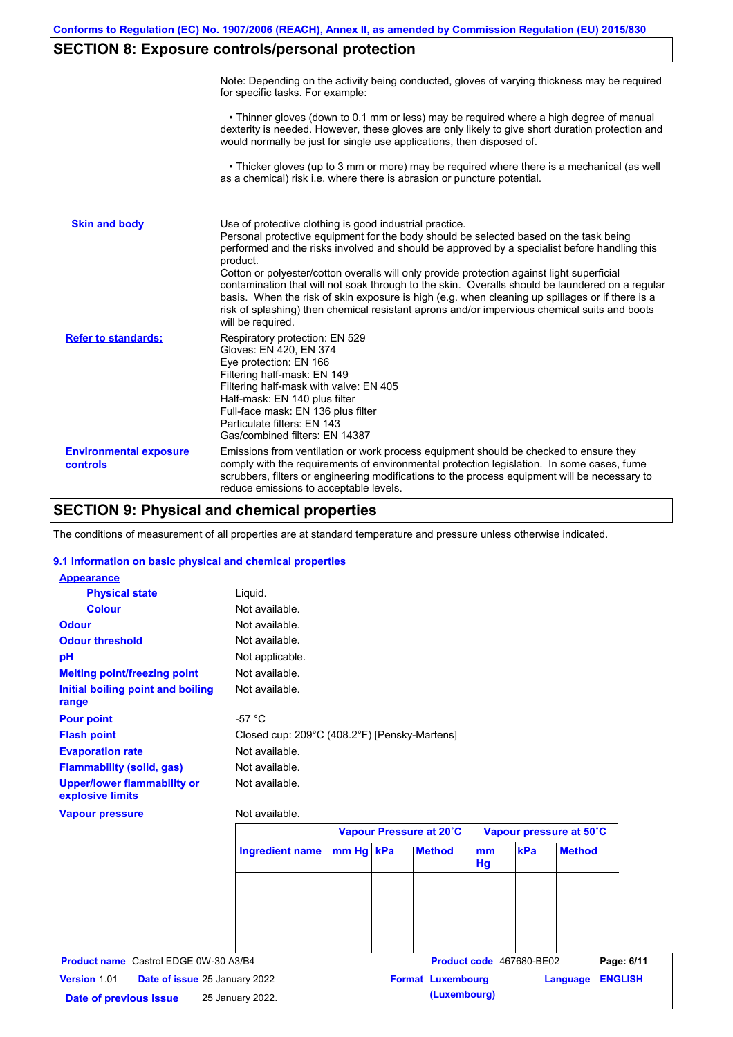# **SECTION 8: Exposure controls/personal protection**

|                                           | Note: Depending on the activity being conducted, gloves of varying thickness may be required<br>for specific tasks. For example:                                                                                                                                                                                                                                                                                                                                                                                                                                                                                                                                                      |
|-------------------------------------------|---------------------------------------------------------------------------------------------------------------------------------------------------------------------------------------------------------------------------------------------------------------------------------------------------------------------------------------------------------------------------------------------------------------------------------------------------------------------------------------------------------------------------------------------------------------------------------------------------------------------------------------------------------------------------------------|
|                                           | • Thinner gloves (down to 0.1 mm or less) may be required where a high degree of manual<br>dexterity is needed. However, these gloves are only likely to give short duration protection and<br>would normally be just for single use applications, then disposed of.                                                                                                                                                                                                                                                                                                                                                                                                                  |
|                                           | • Thicker gloves (up to 3 mm or more) may be required where there is a mechanical (as well<br>as a chemical) risk i.e. where there is abrasion or puncture potential.                                                                                                                                                                                                                                                                                                                                                                                                                                                                                                                 |
| <b>Skin and body</b>                      | Use of protective clothing is good industrial practice.<br>Personal protective equipment for the body should be selected based on the task being<br>performed and the risks involved and should be approved by a specialist before handling this<br>product.<br>Cotton or polyester/cotton overalls will only provide protection against light superficial<br>contamination that will not soak through to the skin. Overalls should be laundered on a regular<br>basis. When the risk of skin exposure is high (e.g. when cleaning up spillages or if there is a<br>risk of splashing) then chemical resistant aprons and/or impervious chemical suits and boots<br>will be required. |
| <b>Refer to standards:</b>                | Respiratory protection: EN 529<br>Gloves: EN 420, EN 374<br>Eye protection: EN 166<br>Filtering half-mask: EN 149<br>Filtering half-mask with valve: EN 405<br>Half-mask: EN 140 plus filter<br>Full-face mask: EN 136 plus filter<br>Particulate filters: EN 143<br>Gas/combined filters: EN 14387                                                                                                                                                                                                                                                                                                                                                                                   |
| <b>Environmental exposure</b><br>controls | Emissions from ventilation or work process equipment should be checked to ensure they<br>comply with the requirements of environmental protection legislation. In some cases, fume<br>scrubbers, filters or engineering modifications to the process equipment will be necessary to<br>reduce emissions to acceptable levels.                                                                                                                                                                                                                                                                                                                                                         |

# **SECTION 9: Physical and chemical properties**

The conditions of measurement of all properties are at standard temperature and pressure unless otherwise indicated.

### **9.1 Information on basic physical and chemical properties**

| <b>Appearance</b>                                      |                                              |           |                          |                          |     |                         |                |
|--------------------------------------------------------|----------------------------------------------|-----------|--------------------------|--------------------------|-----|-------------------------|----------------|
| <b>Physical state</b>                                  | Liquid.                                      |           |                          |                          |     |                         |                |
| <b>Colour</b>                                          | Not available.                               |           |                          |                          |     |                         |                |
| <b>Odour</b>                                           | Not available.                               |           |                          |                          |     |                         |                |
| <b>Odour threshold</b>                                 | Not available.                               |           |                          |                          |     |                         |                |
| pH                                                     | Not applicable.                              |           |                          |                          |     |                         |                |
| <b>Melting point/freezing point</b>                    | Not available.                               |           |                          |                          |     |                         |                |
| Initial boiling point and boiling<br>range             | Not available.                               |           |                          |                          |     |                         |                |
| <b>Pour point</b>                                      | $-57 °C$                                     |           |                          |                          |     |                         |                |
| <b>Flash point</b>                                     | Closed cup: 209°C (408.2°F) [Pensky-Martens] |           |                          |                          |     |                         |                |
| <b>Evaporation rate</b>                                | Not available.                               |           |                          |                          |     |                         |                |
| <b>Flammability (solid, gas)</b>                       | Not available.                               |           |                          |                          |     |                         |                |
| <b>Upper/lower flammability or</b><br>explosive limits | Not available.                               |           |                          |                          |     |                         |                |
| <b>Vapour pressure</b>                                 | Not available.                               |           |                          |                          |     |                         |                |
|                                                        |                                              |           | Vapour Pressure at 20°C  |                          |     | Vapour pressure at 50°C |                |
|                                                        | <b>Ingredient name</b>                       | mm Hg kPa | <b>Method</b>            | mm<br>Hg                 | kPa | <b>Method</b>           |                |
|                                                        |                                              |           |                          |                          |     |                         |                |
| <b>Product name</b> Castrol EDGE 0W-30 A3/B4           |                                              |           |                          | Product code 467680-BE02 |     |                         | Page: 6/11     |
| Version 1.01<br>Date of issue 25 January 2022          |                                              |           | <b>Format Luxembourg</b> |                          |     | Language                | <b>ENGLISH</b> |

| Date of previous issue | 25 January 2022 |  |
|------------------------|-----------------|--|
|                        |                 |  |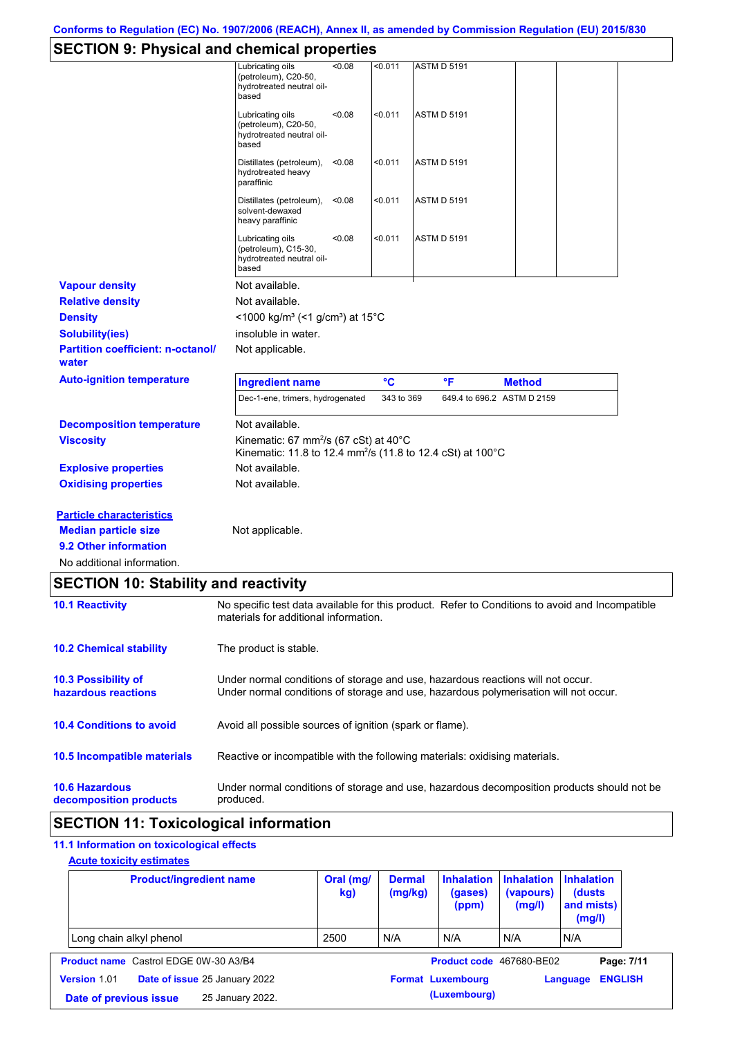# **SECTION 9: Physical and chemical properties**

|                                                                                                                       | י- ייז                                                                                                                                   |            |                    |                            |  |
|-----------------------------------------------------------------------------------------------------------------------|------------------------------------------------------------------------------------------------------------------------------------------|------------|--------------------|----------------------------|--|
|                                                                                                                       | < 0.08<br>Lubricating oils<br>(petroleum), C20-50,<br>hydrotreated neutral oil-<br>based                                                 | < 0.011    | <b>ASTM D 5191</b> |                            |  |
|                                                                                                                       | <0.08<br>Lubricating oils<br>(petroleum), C20-50,<br>hydrotreated neutral oil-<br>based                                                  | < 0.011    | <b>ASTM D 5191</b> |                            |  |
|                                                                                                                       | Distillates (petroleum),<br>< 0.08<br>hydrotreated heavy<br>paraffinic                                                                   | < 0.011    | <b>ASTM D 5191</b> |                            |  |
|                                                                                                                       | Distillates (petroleum), <0.08<br>solvent-dewaxed<br>heavy paraffinic                                                                    | < 0.011    | <b>ASTM D 5191</b> |                            |  |
|                                                                                                                       | Lubricating oils<br>< 0.08<br>(petroleum), C15-30,<br>hydrotreated neutral oil-<br>based                                                 | < 0.011    | <b>ASTM D 5191</b> |                            |  |
| <b>Vapour density</b>                                                                                                 | Not available.                                                                                                                           |            |                    |                            |  |
| <b>Relative density</b>                                                                                               | Not available.                                                                                                                           |            |                    |                            |  |
| <b>Density</b>                                                                                                        | <1000 kg/m <sup>3</sup> (<1 g/cm <sup>3</sup> ) at 15°C                                                                                  |            |                    |                            |  |
| <b>Solubility(ies)</b>                                                                                                | insoluble in water.                                                                                                                      |            |                    |                            |  |
| <b>Partition coefficient: n-octanol/</b><br>water                                                                     | Not applicable.                                                                                                                          |            |                    |                            |  |
| <b>Auto-ignition temperature</b>                                                                                      | <b>Ingredient name</b>                                                                                                                   | °C         | °F                 | <b>Method</b>              |  |
|                                                                                                                       | Dec-1-ene, trimers, hydrogenated                                                                                                         | 343 to 369 |                    | 649.4 to 696.2 ASTM D 2159 |  |
| <b>Decomposition temperature</b>                                                                                      | Not available.                                                                                                                           |            |                    |                            |  |
| <b>Viscosity</b>                                                                                                      | Kinematic: 67 mm <sup>2</sup> /s (67 cSt) at 40°C<br>Kinematic: 11.8 to 12.4 mm <sup>2</sup> /s (11.8 to 12.4 cSt) at 100°C              |            |                    |                            |  |
| <b>Explosive properties</b>                                                                                           | Not available.                                                                                                                           |            |                    |                            |  |
| <b>Oxidising properties</b>                                                                                           | Not available.                                                                                                                           |            |                    |                            |  |
| <b>Particle characteristics</b><br><b>Median particle size</b><br>9.2 Other information<br>No additional information. | Not applicable.                                                                                                                          |            |                    |                            |  |
| <b>SECTION 10: Stability and reactivity</b>                                                                           |                                                                                                                                          |            |                    |                            |  |
| <b>10.1 Reactivity</b>                                                                                                | No specific test data available for this product. Refer to Conditions to avoid and Incompatible<br>materials for additional information. |            |                    |                            |  |
| <b>10.2 Chemical stability</b>                                                                                        | The product is stable.                                                                                                                   |            |                    |                            |  |
| <b>10.3 Possibility of</b>                                                                                            | Under normal conditions of storage and use, hazardous reactions will not occur.                                                          |            |                    |                            |  |

**hazardous reactions** Under normal conditions of storage and use, hazardous polymerisation will not occur.

| <b>10.4 Conditions to avoid</b> | Avoid all possible sources of ignition (spark or flame). |
|---------------------------------|----------------------------------------------------------|
|---------------------------------|----------------------------------------------------------|

**10.5 Incompatible materials** Reactive or incompatible with the following materials: oxidising materials.

**10.6 Hazardous decomposition products** Under normal conditions of storage and use, hazardous decomposition products should not be produced.

# **SECTION 11: Toxicological information**

## **11.1 Information on toxicological effects**

### **Acute toxicity estimates**

| <b>Product/ingredient name</b>                       | Oral (mg/<br>kg) | <b>Dermal</b><br>(mg/kg) | <b>Inhalation</b><br>(gases)<br>(ppm) | <b>Inhalation</b><br>(vapours)<br>(mg/l) | <b>Inhalation</b><br>(dusts)<br>and mists)<br>(mg/l) |                |
|------------------------------------------------------|------------------|--------------------------|---------------------------------------|------------------------------------------|------------------------------------------------------|----------------|
| Long chain alkyl phenol                              | 2500             | N/A                      | N/A                                   | N/A                                      | N/A                                                  |                |
| <b>Product name</b> Castrol EDGE 0W-30 A3/B4         |                  |                          | Product code 467680-BE02              |                                          |                                                      | Page: 7/11     |
| <b>Version 1.01</b><br>Date of issue 25 January 2022 |                  |                          | <b>Format Luxembourg</b>              |                                          | Language                                             | <b>ENGLISH</b> |
| 25 January 2022.<br>Date of previous issue           |                  |                          | (Luxembourg)                          |                                          |                                                      |                |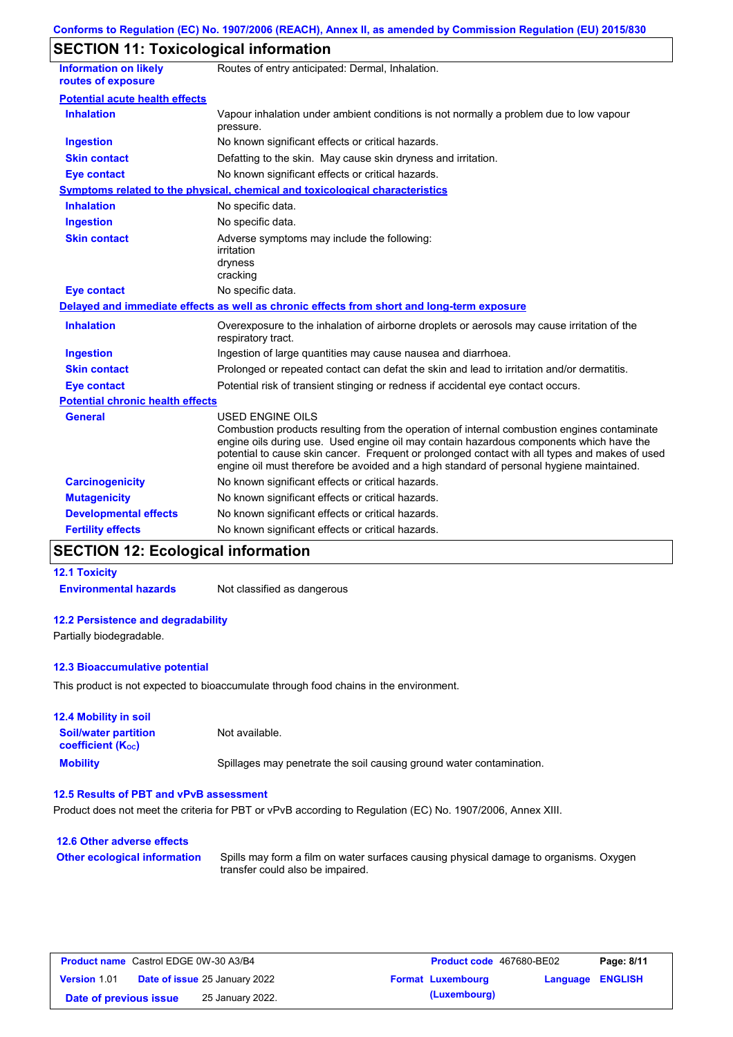# **SECTION 11: Toxicological information**

| <b>Information on likely</b><br>routes of exposure | Routes of entry anticipated: Dermal, Inhalation.                                                                                                                                                                                                                                                                                                                                                                |
|----------------------------------------------------|-----------------------------------------------------------------------------------------------------------------------------------------------------------------------------------------------------------------------------------------------------------------------------------------------------------------------------------------------------------------------------------------------------------------|
| <b>Potential acute health effects</b>              |                                                                                                                                                                                                                                                                                                                                                                                                                 |
| <b>Inhalation</b>                                  | Vapour inhalation under ambient conditions is not normally a problem due to low vapour<br>pressure.                                                                                                                                                                                                                                                                                                             |
| Ingestion                                          | No known significant effects or critical hazards.                                                                                                                                                                                                                                                                                                                                                               |
| <b>Skin contact</b>                                | Defatting to the skin. May cause skin dryness and irritation.                                                                                                                                                                                                                                                                                                                                                   |
| <b>Eye contact</b>                                 | No known significant effects or critical hazards.                                                                                                                                                                                                                                                                                                                                                               |
|                                                    | <b>Symptoms related to the physical, chemical and toxicological characteristics</b>                                                                                                                                                                                                                                                                                                                             |
| <b>Inhalation</b>                                  | No specific data.                                                                                                                                                                                                                                                                                                                                                                                               |
| <b>Ingestion</b>                                   | No specific data.                                                                                                                                                                                                                                                                                                                                                                                               |
| <b>Skin contact</b>                                | Adverse symptoms may include the following:<br>irritation<br>dryness<br>cracking                                                                                                                                                                                                                                                                                                                                |
| <b>Eye contact</b>                                 | No specific data.                                                                                                                                                                                                                                                                                                                                                                                               |
|                                                    | Delayed and immediate effects as well as chronic effects from short and long-term exposure                                                                                                                                                                                                                                                                                                                      |
| <b>Inhalation</b>                                  | Overexposure to the inhalation of airborne droplets or aerosols may cause irritation of the<br>respiratory tract.                                                                                                                                                                                                                                                                                               |
| <b>Ingestion</b>                                   | Ingestion of large quantities may cause nausea and diarrhoea.                                                                                                                                                                                                                                                                                                                                                   |
| <b>Skin contact</b>                                | Prolonged or repeated contact can defat the skin and lead to irritation and/or dermatitis.                                                                                                                                                                                                                                                                                                                      |
| <b>Eye contact</b>                                 | Potential risk of transient stinging or redness if accidental eye contact occurs.                                                                                                                                                                                                                                                                                                                               |
| <b>Potential chronic health effects</b>            |                                                                                                                                                                                                                                                                                                                                                                                                                 |
| <b>General</b>                                     | <b>USED ENGINE OILS</b><br>Combustion products resulting from the operation of internal combustion engines contaminate<br>engine oils during use. Used engine oil may contain hazardous components which have the<br>potential to cause skin cancer. Frequent or prolonged contact with all types and makes of used<br>engine oil must therefore be avoided and a high standard of personal hygiene maintained. |
| <b>Carcinogenicity</b>                             | No known significant effects or critical hazards.                                                                                                                                                                                                                                                                                                                                                               |
| <b>Mutagenicity</b>                                | No known significant effects or critical hazards.                                                                                                                                                                                                                                                                                                                                                               |
| <b>Developmental effects</b>                       | No known significant effects or critical hazards.                                                                                                                                                                                                                                                                                                                                                               |
| <b>Fertility effects</b>                           | No known significant effects or critical hazards.                                                                                                                                                                                                                                                                                                                                                               |

# **SECTION 12: Ecological information**

### **12.1 Toxicity**

**Environmental hazards** Not classified as dangerous

### **12.2 Persistence and degradability**

Partially biodegradable.

### **12.3 Bioaccumulative potential**

This product is not expected to bioaccumulate through food chains in the environment.

### **Mobility** Spillages may penetrate the soil causing ground water contamination. **12.4 Mobility in soil Soil/water partition coefficient (KOC)** Not available.

### **12.5 Results of PBT and vPvB assessment**

Product does not meet the criteria for PBT or vPvB according to Regulation (EC) No. 1907/2006, Annex XIII.

### **12.6 Other adverse effects Other ecological information**

Spills may form a film on water surfaces causing physical damage to organisms. Oxygen transfer could also be impaired.

| <b>Product name</b> Castrol EDGE 0W-30 A3/B4 |  |                                      | <b>Product code</b> 467680-BE02 |                          | Page: 8/11       |  |
|----------------------------------------------|--|--------------------------------------|---------------------------------|--------------------------|------------------|--|
| <b>Version 1.01</b>                          |  | <b>Date of issue 25 January 2022</b> |                                 | <b>Format Luxembourg</b> | Language ENGLISH |  |
| Date of previous issue                       |  | 25 January 2022.                     |                                 | (Luxembourg)             |                  |  |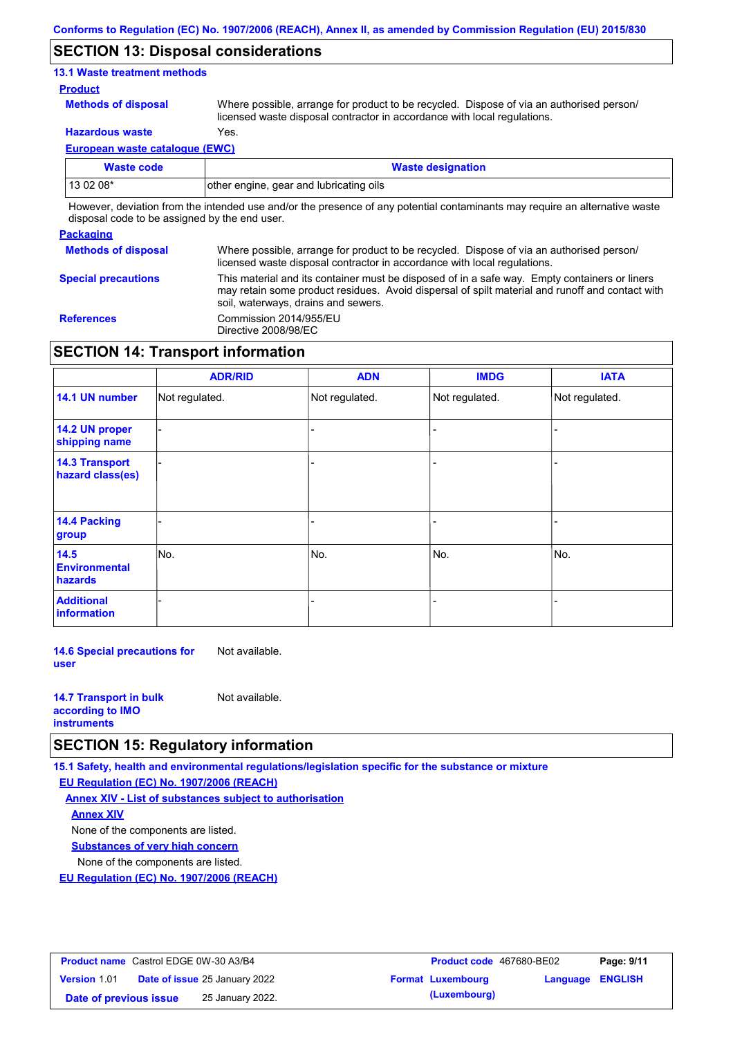### **SECTION 13: Disposal considerations**

### **13.1 Waste treatment methods**

### **Product**

**Methods of disposal**

Where possible, arrange for product to be recycled. Dispose of via an authorised person/ licensed waste disposal contractor in accordance with local regulations.

**Hazardous waste** Yes.

**European waste catalogue (EWC)**

| Waste code                                                                                                                                                                                                                    | <b>Waste designation</b>                |  |  |  |
|-------------------------------------------------------------------------------------------------------------------------------------------------------------------------------------------------------------------------------|-----------------------------------------|--|--|--|
| $130208*$                                                                                                                                                                                                                     | other engine, gear and lubricating oils |  |  |  |
| . There is a chatter form the between the tree is allegated and concerned and and the composition of the contract of the contract of the second contract of the second contract of the second contract of the second contract |                                         |  |  |  |

However, deviation from the intended use and/or the presence of any potential contaminants may require an alternative waste disposal code to be assigned by the end user.

### **Packaging**

| 1.491199119                |                                                                                                                                                                                                                                         |
|----------------------------|-----------------------------------------------------------------------------------------------------------------------------------------------------------------------------------------------------------------------------------------|
| <b>Methods of disposal</b> | Where possible, arrange for product to be recycled. Dispose of via an authorised person/<br>licensed waste disposal contractor in accordance with local regulations.                                                                    |
| <b>Special precautions</b> | This material and its container must be disposed of in a safe way. Empty containers or liners<br>may retain some product residues. Avoid dispersal of spilt material and runoff and contact with<br>soil, waterways, drains and sewers. |
| <b>References</b>          | Commission 2014/955/EU<br>Directive 2008/98/EC                                                                                                                                                                                          |

# **SECTION 14: Transport information**

|                                           | <b>ADR/RID</b> | <b>ADN</b>     | <b>IMDG</b>    | <b>IATA</b>    |
|-------------------------------------------|----------------|----------------|----------------|----------------|
| 14.1 UN number                            | Not regulated. | Not regulated. | Not regulated. | Not regulated. |
| 14.2 UN proper<br>shipping name           |                |                |                |                |
| <b>14.3 Transport</b><br>hazard class(es) |                |                |                |                |
| 14.4 Packing<br>group                     |                |                |                |                |
| 14.5<br><b>Environmental</b><br>hazards   | No.            | No.            | No.            | No.            |
| <b>Additional</b><br>information          |                |                |                |                |

**14.6 Special precautions for user** Not available.

| <b>14.7 Transport in bulk</b> | Not available. |
|-------------------------------|----------------|
| according to <b>IMO</b>       |                |
| <b>instruments</b>            |                |

## **SECTION 15: Regulatory information**

**15.1 Safety, health and environmental regulations/legislation specific for the substance or mixture**

**EU Regulation (EC) No. 1907/2006 (REACH)**

**Annex XIV - List of substances subject to authorisation Substances of very high concern** None of the components are listed. None of the components are listed. **Annex XIV**

**EU Regulation (EC) No. 1907/2006 (REACH)**

| <b>Product name</b> Castrol EDGE 0W-30 A3/B4 |                                      | <b>Product code</b> 467680-BE02 |                         | Page: 9/11 |
|----------------------------------------------|--------------------------------------|---------------------------------|-------------------------|------------|
| <b>Version 1.01</b>                          | <b>Date of issue 25 January 2022</b> | <b>Format Luxembourg</b>        | <b>Language ENGLISH</b> |            |
| Date of previous issue                       | 25 January 2022.                     | (Luxembourg)                    |                         |            |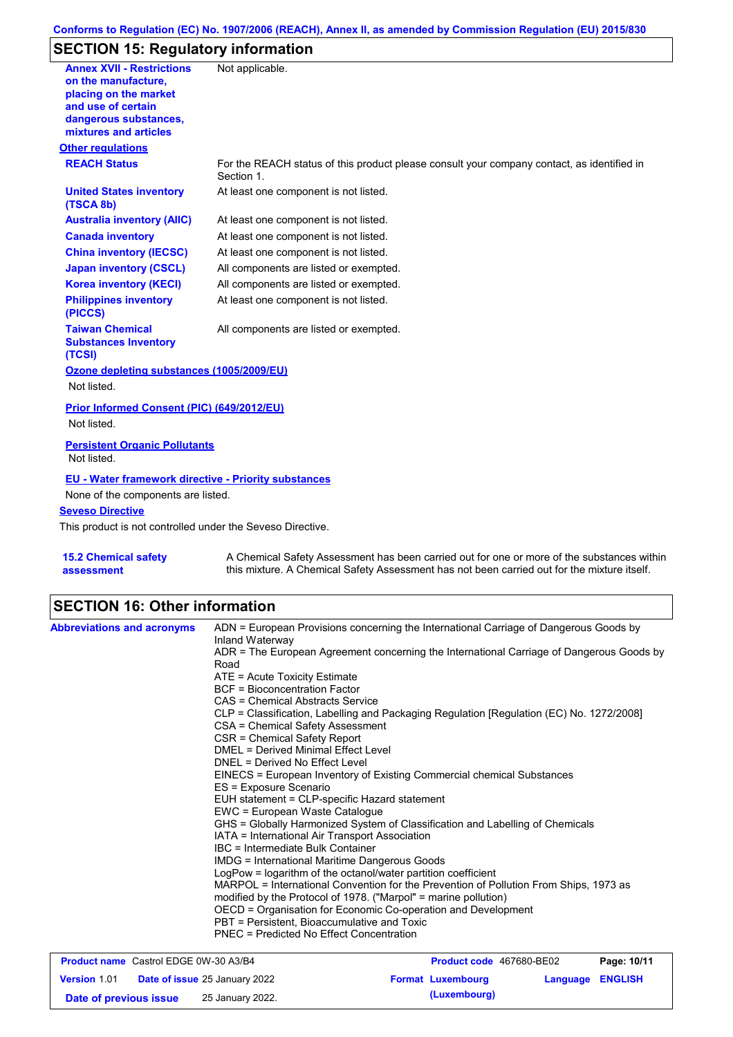## **Conforms to Regulation (EC) No. 1907/2006 (REACH), Annex II, as amended by Commission Regulation (EU) 2015/830**

# **SECTION 15: Regulatory information**

| <b>Annex XVII - Restrictions</b><br>on the manufacture.<br>placing on the market<br>and use of certain<br>dangerous substances,<br>mixtures and articles | Not applicable.                                                                                          |
|----------------------------------------------------------------------------------------------------------------------------------------------------------|----------------------------------------------------------------------------------------------------------|
| <b>Other regulations</b>                                                                                                                                 |                                                                                                          |
| <b>REACH Status</b>                                                                                                                                      | For the REACH status of this product please consult your company contact, as identified in<br>Section 1. |
| <b>United States inventory</b><br>(TSCA 8b)                                                                                                              | At least one component is not listed.                                                                    |
| <b>Australia inventory (AIIC)</b>                                                                                                                        | At least one component is not listed.                                                                    |
| <b>Canada inventory</b>                                                                                                                                  | At least one component is not listed.                                                                    |
| <b>China inventory (IECSC)</b>                                                                                                                           | At least one component is not listed.                                                                    |
| <b>Japan inventory (CSCL)</b>                                                                                                                            | All components are listed or exempted.                                                                   |
| <b>Korea inventory (KECI)</b>                                                                                                                            | All components are listed or exempted.                                                                   |
| <b>Philippines inventory</b><br>(PICCS)                                                                                                                  | At least one component is not listed.                                                                    |
| <b>Taiwan Chemical</b><br><b>Substances Inventory</b><br>(TCSI)                                                                                          | All components are listed or exempted.                                                                   |
| Ozone depleting substances (1005/2009/EU)<br>Not listed.                                                                                                 |                                                                                                          |
| <b>Prior Informed Consent (PIC) (649/2012/EU)</b><br>Not listed.                                                                                         |                                                                                                          |
| <b>Persistent Organic Pollutants</b><br>Not listed.                                                                                                      |                                                                                                          |
| <b>EU - Water framework directive - Priority substances</b><br>None of the components are listed.                                                        |                                                                                                          |
| <b>Seveso Directive</b>                                                                                                                                  |                                                                                                          |
| This product is not controlled under the Seveso Directive.                                                                                               |                                                                                                          |
|                                                                                                                                                          |                                                                                                          |
| <b>15.2 Chemical safety</b>                                                                                                                              | A Chemical Safety Assessment has been carried out for one or more of the substances within               |

**assessment**

A Chemical Safety Assessment has been carried out for one or more of the substances within this mixture. A Chemical Safety Assessment has not been carried out for the mixture itself.

# **SECTION 16: Other information**

| <b>Abbreviations and acronyms</b>                           | ADN = European Provisions concerning the International Carriage of Dangerous Goods by<br>Inland Waterway                                    |                                                               |          |                |  |
|-------------------------------------------------------------|---------------------------------------------------------------------------------------------------------------------------------------------|---------------------------------------------------------------|----------|----------------|--|
|                                                             | ADR = The European Agreement concerning the International Carriage of Dangerous Goods by<br>Road                                            |                                                               |          |                |  |
|                                                             | $ATE =$ Acute Toxicity Estimate                                                                                                             |                                                               |          |                |  |
|                                                             | <b>BCF</b> = Bioconcentration Factor                                                                                                        |                                                               |          |                |  |
| CAS = Chemical Abstracts Service                            |                                                                                                                                             |                                                               |          |                |  |
|                                                             | CLP = Classification, Labelling and Packaging Regulation [Regulation (EC) No. 1272/2008]                                                    |                                                               |          |                |  |
|                                                             | CSA = Chemical Safety Assessment                                                                                                            |                                                               |          |                |  |
|                                                             | CSR = Chemical Safety Report                                                                                                                |                                                               |          |                |  |
|                                                             | <b>DMEL = Derived Minimal Effect Level</b>                                                                                                  |                                                               |          |                |  |
|                                                             | DNEL = Derived No Effect Level                                                                                                              |                                                               |          |                |  |
|                                                             | EINECS = European Inventory of Existing Commercial chemical Substances                                                                      |                                                               |          |                |  |
|                                                             | ES = Exposure Scenario                                                                                                                      |                                                               |          |                |  |
| EUH statement = CLP-specific Hazard statement               |                                                                                                                                             |                                                               |          |                |  |
|                                                             | EWC = European Waste Catalogue                                                                                                              |                                                               |          |                |  |
|                                                             | GHS = Globally Harmonized System of Classification and Labelling of Chemicals                                                               |                                                               |          |                |  |
|                                                             | IATA = International Air Transport Association<br>IBC = Intermediate Bulk Container<br><b>IMDG = International Maritime Dangerous Goods</b> |                                                               |          |                |  |
|                                                             |                                                                                                                                             |                                                               |          |                |  |
|                                                             |                                                                                                                                             | LogPow = logarithm of the octanol/water partition coefficient |          |                |  |
|                                                             | MARPOL = International Convention for the Prevention of Pollution From Ships, 1973 as                                                       |                                                               |          |                |  |
|                                                             | modified by the Protocol of 1978. ("Marpol" = marine pollution)                                                                             |                                                               |          |                |  |
|                                                             | OECD = Organisation for Economic Co-operation and Development                                                                               |                                                               |          |                |  |
|                                                             | PBT = Persistent, Bioaccumulative and Toxic                                                                                                 |                                                               |          |                |  |
|                                                             | PNEC = Predicted No Effect Concentration                                                                                                    |                                                               |          |                |  |
| <b>Product name</b> Castrol EDGE 0W-30 A3/B4                |                                                                                                                                             | Product code 467680-BE02                                      |          | Page: 10/11    |  |
| <b>Date of issue 25 January 2022</b><br><b>Version 1.01</b> |                                                                                                                                             | <b>Format Luxembourg</b>                                      | Language | <b>ENGLISH</b> |  |

**Date of previous issue (Luxembourg)** 25 January 2022.